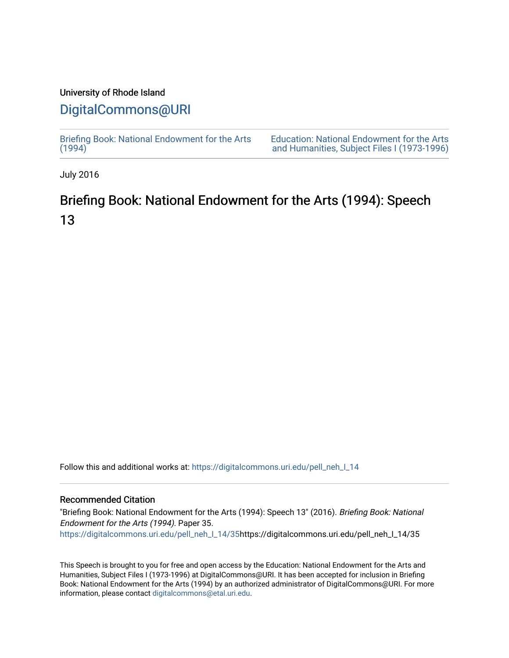### University of Rhode Island

## [DigitalCommons@URI](https://digitalcommons.uri.edu/)

[Briefing Book: National Endowment for the Arts](https://digitalcommons.uri.edu/pell_neh_I_14)  $(1994)$ 

[Education: National Endowment for the Arts](https://digitalcommons.uri.edu/pell_neh_I)  [and Humanities, Subject Files I \(1973-1996\)](https://digitalcommons.uri.edu/pell_neh_I) 

July 2016

# Briefing Book: National Endowment for the Arts (1994): Speech 13

Follow this and additional works at: [https://digitalcommons.uri.edu/pell\\_neh\\_I\\_14](https://digitalcommons.uri.edu/pell_neh_I_14?utm_source=digitalcommons.uri.edu%2Fpell_neh_I_14%2F35&utm_medium=PDF&utm_campaign=PDFCoverPages) 

#### Recommended Citation

"Briefing Book: National Endowment for the Arts (1994): Speech 13" (2016). Briefing Book: National Endowment for the Arts (1994). Paper 35. [https://digitalcommons.uri.edu/pell\\_neh\\_I\\_14/35h](https://digitalcommons.uri.edu/pell_neh_I_14/35?utm_source=digitalcommons.uri.edu%2Fpell_neh_I_14%2F35&utm_medium=PDF&utm_campaign=PDFCoverPages)ttps://digitalcommons.uri.edu/pell\_neh\_I\_14/35

This Speech is brought to you for free and open access by the Education: National Endowment for the Arts and Humanities, Subject Files I (1973-1996) at DigitalCommons@URI. It has been accepted for inclusion in Briefing Book: National Endowment for the Arts (1994) by an authorized administrator of DigitalCommons@URI. For more information, please contact [digitalcommons@etal.uri.edu.](mailto:digitalcommons@etal.uri.edu)